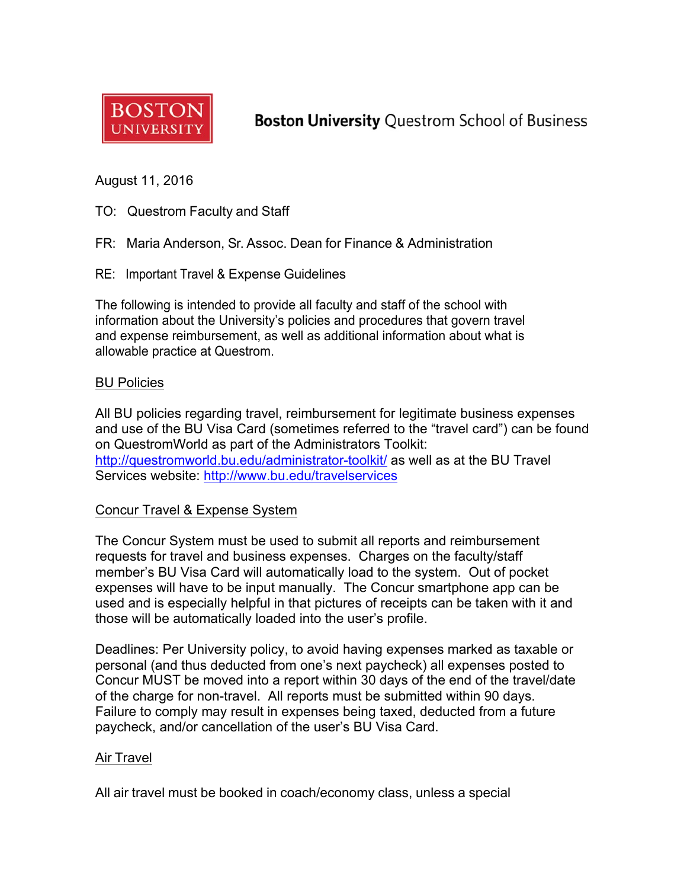

**Boston University Questrom School of Business** 

August 11, 2016

- TO: Questrom Faculty and Staff
- FR: Maria Anderson, Sr. Assoc. Dean for Finance & Administration
- RE: Important Travel & Expense Guidelines

The following is intended to provide all faculty and staff of the school with information about the University's policies and procedures that govern travel and expense reimbursement, as well as additional information about what is allowable practice at Questrom.

#### BU Policies

All BU policies regarding travel, reimbursement for legitimate business expenses and use of the BU Visa Card (sometimes referred to the "travel card") can be found on QuestromWorld as part of the Administrators Toolkit: http://questromworld.bu.edu/administrator-toolkit/ as well as at the BU Travel Services website: http://www.bu.edu/travelservices

## Concur Travel & Expense System

The Concur System must be used to submit all reports and reimbursement requests for travel and business expenses. Charges on the faculty/staff member's BU Visa Card will automatically load to the system. Out of pocket expenses will have to be input manually. The Concur smartphone app can be used and is especially helpful in that pictures of receipts can be taken with it and those will be automatically loaded into the user's profile.

Deadlines: Per University policy, to avoid having expenses marked as taxable or personal (and thus deducted from one's next paycheck) all expenses posted to Concur MUST be moved into a report within 30 days of the end of the travel/date of the charge for non-travel. All reports must be submitted within 90 days. Failure to comply may result in expenses being taxed, deducted from a future paycheck, and/or cancellation of the user's BU Visa Card.

## Air Travel

All air travel must be booked in coach/economy class, unless a special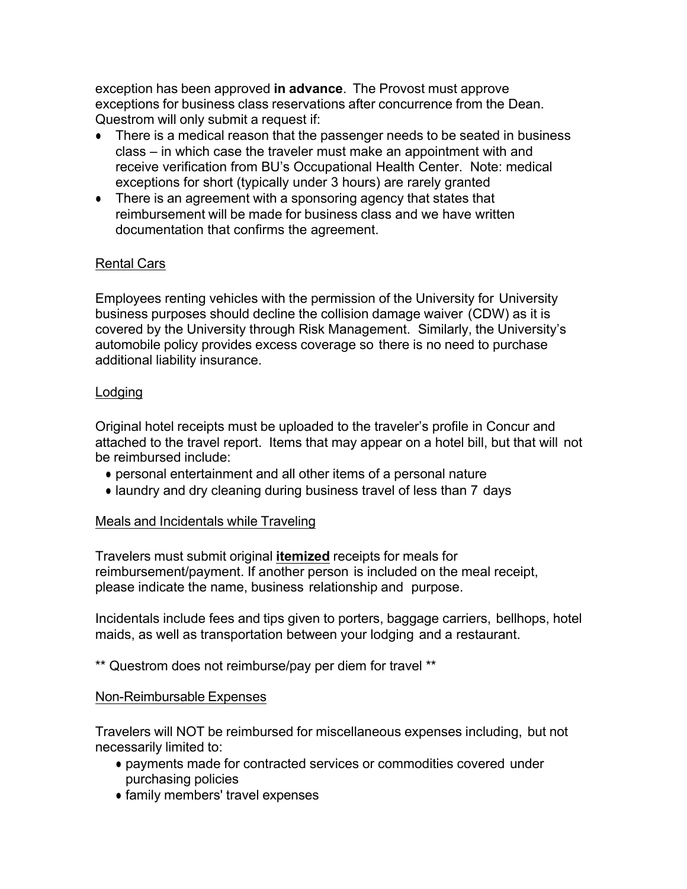exception has been approved **in advance**. The Provost must approve exceptions for business class reservations after concurrence from the Dean. Questrom will only submit a request if:

- There is a medical reason that the passenger needs to be seated in business class – in which case the traveler must make an appointment with and receive verification from BU's Occupational Health Center. Note: medical exceptions for short (typically under 3 hours) are rarely granted
- There is an agreement with a sponsoring agency that states that reimbursement will be made for business class and we have written documentation that confirms the agreement.

# Rental Cars

Employees renting vehicles with the permission of the University for University business purposes should decline the collision damage waiver (CDW) as it is covered by the University through Risk Management. Similarly, the University's automobile policy provides excess coverage so there is no need to purchase additional liability insurance.

## Lodging

Original hotel receipts must be uploaded to the traveler's profile in Concur and attached to the travel report. Items that may appear on a hotel bill, but that will not be reimbursed include:

- personal entertainment and all other items of a personal nature
- laundry and dry cleaning during business travel of less than 7 days

# Meals and Incidentals while Traveling

Travelers must submit original **itemized** receipts for meals for reimbursement/payment. If another person is included on the meal receipt, please indicate the name, business relationship and purpose.

Incidentals include fees and tips given to porters, baggage carriers, bellhops, hotel maids, as well as transportation between your lodging and a restaurant.

\*\* Questrom does not reimburse/pay per diem for travel \*\*

## Non-Reimbursable Expenses

Travelers will NOT be reimbursed for miscellaneous expenses including, but not necessarily limited to:

- payments made for contracted services or commodities covered under purchasing policies
- family members' travel expenses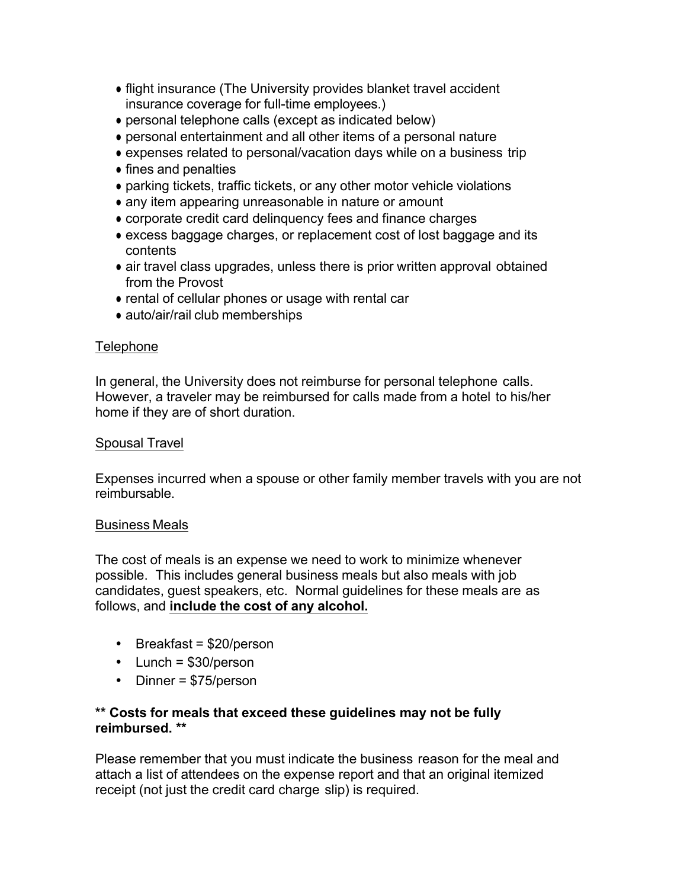- flight insurance (The University provides blanket travel accident insurance coverage for full-time employees.)
- personal telephone calls (except as indicated below)
- personal entertainment and all other items of a personal nature
- expenses related to personal/vacation days while on a business trip
- fines and penalties
- parking tickets, traffic tickets, or any other motor vehicle violations
- any item appearing unreasonable in nature or amount
- corporate credit card delinquency fees and finance charges
- excess baggage charges, or replacement cost of lost baggage and its contents
- air travel class upgrades, unless there is prior written approval obtained from the Provost
- rental of cellular phones or usage with rental car
- auto/air/rail club memberships

## **Telephone**

In general, the University does not reimburse for personal telephone calls. However, a traveler may be reimbursed for calls made from a hotel to his/her home if they are of short duration.

## Spousal Travel

Expenses incurred when a spouse or other family member travels with you are not reimbursable.

## Business Meals

The cost of meals is an expense we need to work to minimize whenever possible. This includes general business meals but also meals with job candidates, guest speakers, etc. Normal guidelines for these meals are as follows, and **include the cost of any alcohol.**

- Breakfast = \$20/person
- Lunch = \$30/person
- Dinner = \$75/person

## **\*\* Costs for meals that exceed these guidelines may not be fully reimbursed. \*\***

Please remember that you must indicate the business reason for the meal and attach a list of attendees on the expense report and that an original itemized receipt (not just the credit card charge slip) is required.